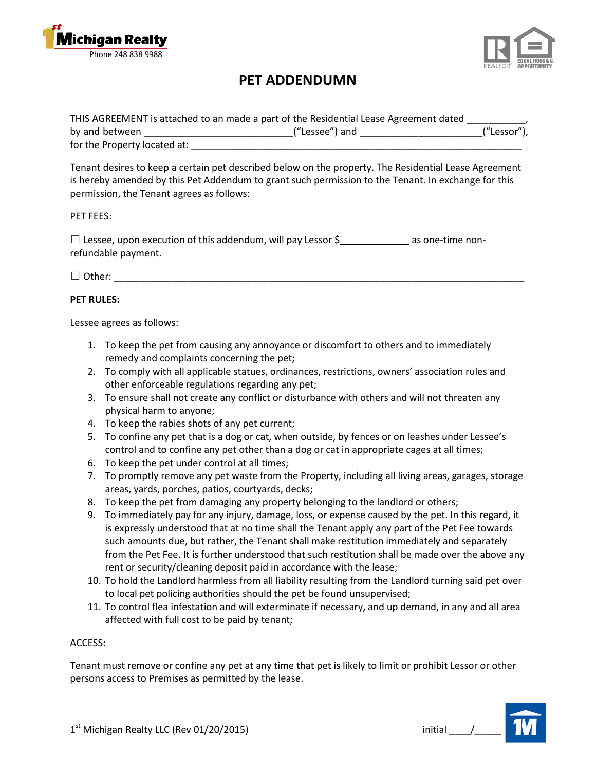



# **PET ADDENDUMN**

|                              | THIS AGREEMENT is attached to an made a part of the Residential Lease Agreement dated |             |
|------------------------------|---------------------------------------------------------------------------------------|-------------|
| by and between               | ("Lessee") and                                                                        | ("Lessor"), |
| for the Property located at: |                                                                                       |             |

Tenant desires to keep a certain pet described below on the property. The Residential Lease Agreement is hereby amended by this Pet Addendum to grant such permission to the Tenant. In exchange for this permission, the Tenant agrees as follows:

## PET FEES:

□ Lessee, upon execution of this addendum, will pay Lessor \$<br>□ Lessee, upon execution of this addendum, will pay Lessor \$ refundable payment.

□ Other: \_\_\_\_\_\_\_\_\_\_\_\_\_\_\_\_\_\_\_\_\_\_\_\_\_\_\_\_\_\_\_\_\_\_\_\_\_\_\_\_\_\_\_\_\_\_\_\_\_\_\_\_\_\_\_\_\_\_\_\_\_\_\_\_\_\_\_\_\_\_\_\_\_\_\_\_\_

# **PET RULES:**

Lessee agrees as follows:

- 1. To keep the pet from causing any annoyance or discomfort to others and to immediately remedy and complaints concerning the pet;
- 2. To comply with all applicable statues, ordinances, restrictions, owners' association rules and other enforceable regulations regarding any pet;
- 3. To ensure shall not create any conflict or disturbance with others and will not threaten any physical harm to anyone;
- 4. To keep the rabies shots of any pet current;
- 5. To confine any pet that is a dog or cat, when outside, by fences or on leashes under Lessee's control and to confine any pet other than a dog or cat in appropriate cages at all times;
- 6. To keep the pet under control at all times;
- 7. To promptly remove any pet waste from the Property, including all living areas, garages, storage areas, yards, porches, patios, courtyards, decks;
- 8. To keep the pet from damaging any property belonging to the landlord or others;
- 9. To immediately pay for any injury, damage, loss, or expense caused by the pet. In this regard, it is expressly understood that at no time shall the Tenant apply any part of the Pet Fee towards such amounts due, but rather, the Tenant shall make restitution immediately and separately from the Pet Fee. It is further understood that such restitution shall be made over the above any rent or security/cleaning deposit paid in accordance with the lease;
- 10. To hold the Landlord harmless from all liability resulting from the Landlord turning said pet over to local pet policing authorities should the pet be found unsupervised;
- 11. To control flea infestation and will exterminate if necessary, and up demand, in any and all area affected with full cost to be paid by tenant;

## ACCESS:

Tenant must remove or confine any pet at any time that pet is likely to limit or prohibit Lessor or other persons access to Premises as permitted by the lease.